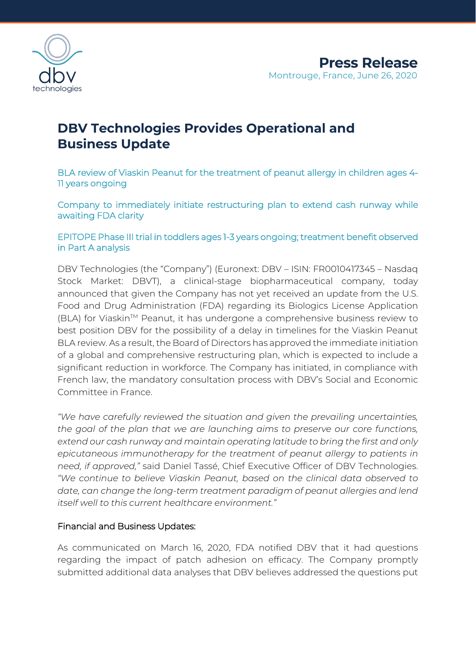

# **DBV Technologies Provides Operational and Business Update**

BLA review of Viaskin Peanut for the treatment of peanut allergy in children ages 4- 11 years ongoing

Company to immediately initiate restructuring plan to extend cash runway while awaiting FDA clarity

EPITOPE Phase III trial in toddlers ages 1-3 years ongoing; treatment benefit observed in Part A analysis

DBV Technologies (the "Company") (Euronext: DBV – ISIN: FR0010417345 – Nasdaq Stock Market: DBVT), a clinical-stage biopharmaceutical company, today announced that given the Company has not yet received an update from the U.S. Food and Drug Administration (FDA) regarding its Biologics License Application (BLA) for Viaskin<sup>™</sup> Peanut, it has undergone a comprehensive business review to best position DBV for the possibility of a delay in timelines for the Viaskin Peanut BLA review. As a result, the Board of Directors has approved the immediate initiation of a global and comprehensive restructuring plan, which is expected to include a significant reduction in workforce. The Company has initiated, in compliance with French law, the mandatory consultation process with DBV's Social and Economic Committee in France.

*"We have carefully reviewed the situation and given the prevailing uncertainties, the goal of the plan that we are launching aims to preserve our core functions, extend our cash runway and maintain operating latitude to bring the first and only epicutaneous immunotherapy for the treatment of peanut allergy to patients in need, if approved,"* said Daniel Tassé, Chief Executive Officer of DBV Technologies. *"We continue to believe Viaskin Peanut, based on the clinical data observed to date, can change the long-term treatment paradigm of peanut allergies and lend itself well to this current healthcare environment."*

### Financial and Business Updates:

As communicated on March 16, 2020, FDA notified DBV that it had questions regarding the impact of patch adhesion on efficacy. The Company promptly submitted additional data analyses that DBV believes addressed the questions put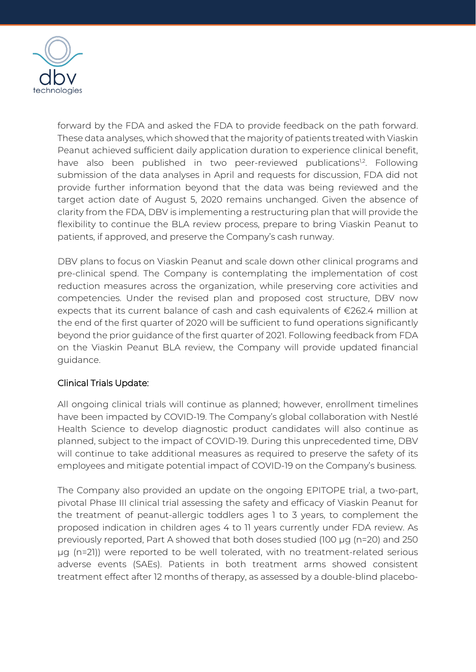

forward by the FDA and asked the FDA to provide feedback on the path forward. These data analyses, which showed that the majority of patients treated with Viaskin Peanut achieved sufficient daily application duration to experience clinical benefit, have also been published in two peer-reviewed publications<sup>12</sup>. Following submission of the data analyses in April and requests for discussion, FDA did not provide further information beyond that the data was being reviewed and the target action date of August 5, 2020 remains unchanged. Given the absence of clarity from the FDA, DBV is implementing a restructuring plan that will provide the flexibility to continue the BLA review process, prepare to bring Viaskin Peanut to patients, if approved, and preserve the Company's cash runway.

DBV plans to focus on Viaskin Peanut and scale down other clinical programs and pre-clinical spend. The Company is contemplating the implementation of cost reduction measures across the organization, while preserving core activities and competencies. Under the revised plan and proposed cost structure, DBV now expects that its current balance of cash and cash equivalents of €262.4 million at the end of the first quarter of 2020 will be sufficient to fund operations significantly beyond the prior guidance of the first quarter of 2021. Following feedback from FDA on the Viaskin Peanut BLA review, the Company will provide updated financial guidance.

# Clinical Trials Update:

All ongoing clinical trials will continue as planned; however, enrollment timelines have been impacted by COVID-19. The Company's global collaboration with Nestlé Health Science to develop diagnostic product candidates will also continue as planned, subject to the impact of COVID-19. During this unprecedented time, DBV will continue to take additional measures as required to preserve the safety of its employees and mitigate potential impact of COVID-19 on the Company's business.

The Company also provided an update on the ongoing EPITOPE trial, a two-part, pivotal Phase III clinical trial assessing the safety and efficacy of Viaskin Peanut for the treatment of peanut-allergic toddlers ages 1 to 3 years, to complement the proposed indication in children ages 4 to 11 years currently under FDA review. As previously reported, Part A showed that both doses studied (100 µg (n=20) and 250 µg (n=21)) were reported to be well tolerated, with no treatment-related serious adverse events (SAEs). Patients in both treatment arms showed consistent treatment effect after 12 months of therapy, as assessed by a double-blind placebo-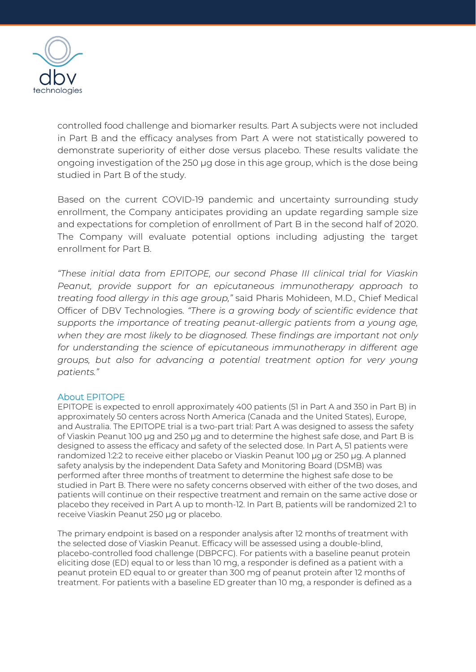

controlled food challenge and biomarker results. Part A subjects were not included in Part B and the efficacy analyses from Part A were not statistically powered to demonstrate superiority of either dose versus placebo. These results validate the ongoing investigation of the 250 µg dose in this age group, which is the dose being studied in Part B of the study.

Based on the current COVID-19 pandemic and uncertainty surrounding study enrollment, the Company anticipates providing an update regarding sample size and expectations for completion of enrollment of Part B in the second half of 2020. The Company will evaluate potential options including adjusting the target enrollment for Part B.

*"These initial data from EPITOPE, our second Phase III clinical trial for Viaskin Peanut, provide support for an epicutaneous immunotherapy approach to treating food allergy in this age group,"* said Pharis Mohideen, M.D., Chief Medical Officer of DBV Technologies. *"There is a growing body of scientific evidence that supports the importance of treating peanut-allergic patients from a young age, when they are most likely to be diagnosed. These findings are important not only for understanding the science of epicutaneous immunotherapy in different age groups, but also for advancing a potential treatment option for very young patients."*

#### About EPITOPE

EPITOPE is expected to enroll approximately 400 patients (51 in Part A and 350 in Part B) in approximately 50 centers across North America (Canada and the United States), Europe, and Australia. The EPITOPE trial is a two-part trial: Part A was designed to assess the safety of Viaskin Peanut 100 µg and 250 µg and to determine the highest safe dose, and Part B is designed to assess the efficacy and safety of the selected dose. In Part A, 51 patients were randomized 1:2:2 to receive either placebo or Viaskin Peanut 100 μg or 250 μg. A planned safety analysis by the independent Data Safety and Monitoring Board (DSMB) was performed after three months of treatment to determine the highest safe dose to be studied in Part B. There were no safety concerns observed with either of the two doses, and patients will continue on their respective treatment and remain on the same active dose or placebo they received in Part A up to month-12. In Part B, patients will be randomized 2:1 to receive Viaskin Peanut 250 µg or placebo.

The primary endpoint is based on a responder analysis after 12 months of treatment with the selected dose of Viaskin Peanut. Efficacy will be assessed using a double-blind, placebo-controlled food challenge (DBPCFC). For patients with a baseline peanut protein eliciting dose (ED) equal to or less than 10 mg, a responder is defined as a patient with a peanut protein ED equal to or greater than 300 mg of peanut protein after 12 months of treatment. For patients with a baseline ED greater than 10 mg, a responder is defined as a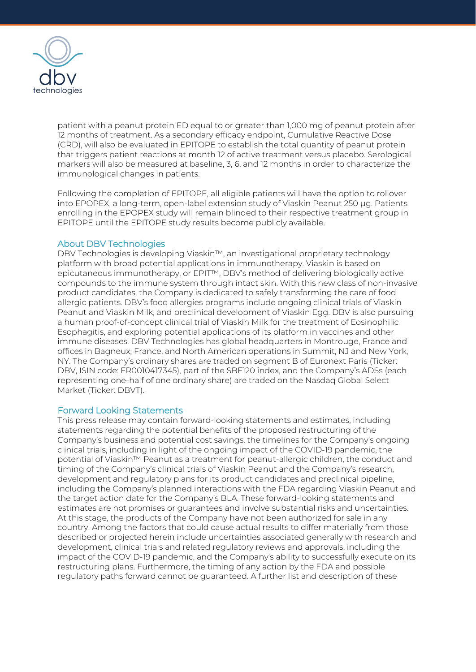

patient with a peanut protein ED equal to or greater than 1,000 mg of peanut protein after 12 months of treatment. As a secondary efficacy endpoint, Cumulative Reactive Dose (CRD), will also be evaluated in EPITOPE to establish the total quantity of peanut protein that triggers patient reactions at month 12 of active treatment versus placebo. Serological markers will also be measured at baseline, 3, 6, and 12 months in order to characterize the immunological changes in patients.

Following the completion of EPITOPE, all eligible patients will have the option to rollover into EPOPEX, a long-term, open-label extension study of Viaskin Peanut 250 µg. Patients enrolling in the EPOPEX study will remain blinded to their respective treatment group in EPITOPE until the EPITOPE study results become publicly available.

#### About DBV Technologies

DBV Technologies is developing Viaskin™, an investigational proprietary technology platform with broad potential applications in immunotherapy. Viaskin is based on epicutaneous immunotherapy, or EPIT™, DBV's method of delivering biologically active compounds to the immune system through intact skin. With this new class of non-invasive product candidates, the Company is dedicated to safely transforming the care of food allergic patients. DBV's food allergies programs include ongoing clinical trials of Viaskin Peanut and Viaskin Milk, and preclinical development of Viaskin Egg. DBV is also pursuing a human proof-of-concept clinical trial of Viaskin Milk for the treatment of Eosinophilic Esophagitis, and exploring potential applications of its platform in vaccines and other immune diseases. DBV Technologies has global headquarters in Montrouge, France and offices in Bagneux, France, and North American operations in Summit, NJ and New York, NY. The Company's ordinary shares are traded on segment B of Euronext Paris (Ticker: DBV, ISIN code: FR0010417345), part of the SBF120 index, and the Company's ADSs (each representing one-half of one ordinary share) are traded on the Nasdaq Global Select Market (Ticker: DBVT).

#### Forward Looking Statements

This press release may contain forward-looking statements and estimates, including statements regarding the potential benefits of the proposed restructuring of the Company's business and potential cost savings, the timelines for the Company's ongoing clinical trials, including in light of the ongoing impact of the COVID-19 pandemic, the potential of Viaskin™ Peanut as a treatment for peanut-allergic children, the conduct and timing of the Company's clinical trials of Viaskin Peanut and the Company's research, development and regulatory plans for its product candidates and preclinical pipeline, including the Company's planned interactions with the FDA regarding Viaskin Peanut and the target action date for the Company's BLA. These forward-looking statements and estimates are not promises or guarantees and involve substantial risks and uncertainties. At this stage, the products of the Company have not been authorized for sale in any country. Among the factors that could cause actual results to differ materially from those described or projected herein include uncertainties associated generally with research and development, clinical trials and related regulatory reviews and approvals, including the impact of the COVID-19 pandemic, and the Company's ability to successfully execute on its restructuring plans. Furthermore, the timing of any action by the FDA and possible regulatory paths forward cannot be guaranteed. A further list and description of these